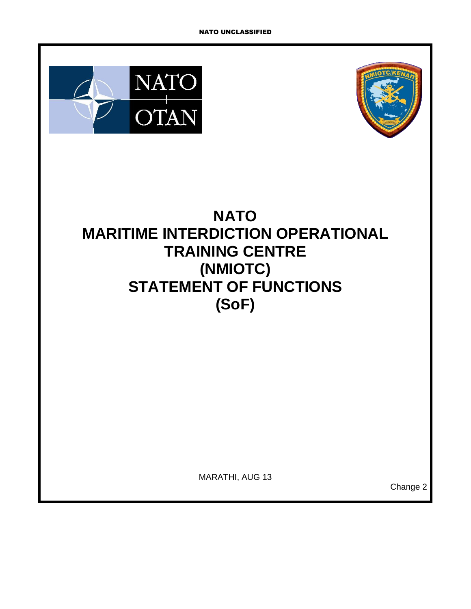



# **NATO MARITIME INTERDICTION OPERATIONAL TRAINING CENTRE (NMIOTC) STATEMENT OF FUNCTIONS (SoF)**

MARATHI, AUG 13

Change 2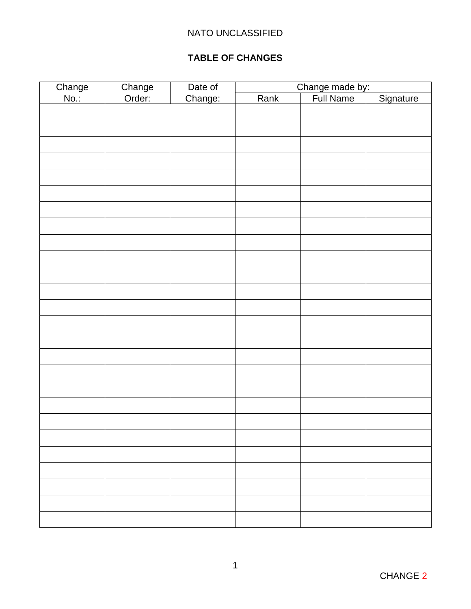### **TABLE OF CHANGES**

<span id="page-1-0"></span>

|                |                  | Date of |      | Change made by:<br>  Full Name |           |  |
|----------------|------------------|---------|------|--------------------------------|-----------|--|
| Change<br>No.: | Change<br>Order: | Change: | Rank |                                | Signature |  |
|                |                  |         |      |                                |           |  |
|                |                  |         |      |                                |           |  |
|                |                  |         |      |                                |           |  |
|                |                  |         |      |                                |           |  |
|                |                  |         |      |                                |           |  |
|                |                  |         |      |                                |           |  |
|                |                  |         |      |                                |           |  |
|                |                  |         |      |                                |           |  |
|                |                  |         |      |                                |           |  |
|                |                  |         |      |                                |           |  |
|                |                  |         |      |                                |           |  |
|                |                  |         |      |                                |           |  |
|                |                  |         |      |                                |           |  |
|                |                  |         |      |                                |           |  |
|                |                  |         |      |                                |           |  |
|                |                  |         |      |                                |           |  |
|                |                  |         |      |                                |           |  |
|                |                  |         |      |                                |           |  |
|                |                  |         |      |                                |           |  |
|                |                  |         |      |                                |           |  |
|                |                  |         |      |                                |           |  |
|                |                  |         |      |                                |           |  |
|                |                  |         |      |                                |           |  |
|                |                  |         |      |                                |           |  |
|                |                  |         |      |                                |           |  |
|                |                  |         |      |                                |           |  |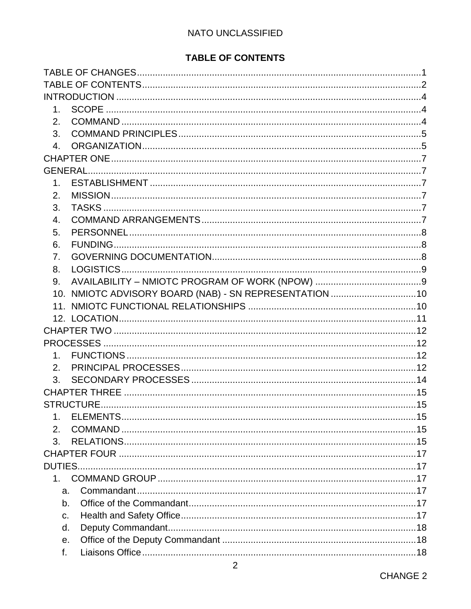## TABLE OF CONTENTS

<span id="page-2-0"></span>

| 1 <sup>1</sup>   |                                                        |  |  |  |  |
|------------------|--------------------------------------------------------|--|--|--|--|
| 2.               |                                                        |  |  |  |  |
| 3.               |                                                        |  |  |  |  |
| 4.               |                                                        |  |  |  |  |
|                  |                                                        |  |  |  |  |
|                  |                                                        |  |  |  |  |
| 1 <sub>1</sub>   |                                                        |  |  |  |  |
| 2.               |                                                        |  |  |  |  |
| 3.               |                                                        |  |  |  |  |
| 4.               |                                                        |  |  |  |  |
| 5.               |                                                        |  |  |  |  |
| 6.               |                                                        |  |  |  |  |
| 7.               |                                                        |  |  |  |  |
| 8.               |                                                        |  |  |  |  |
| 9.               |                                                        |  |  |  |  |
|                  | 10. NMIOTC ADVISORY BOARD (NAB) - SN REPRESENTATION 10 |  |  |  |  |
|                  |                                                        |  |  |  |  |
|                  |                                                        |  |  |  |  |
|                  |                                                        |  |  |  |  |
|                  |                                                        |  |  |  |  |
| 1 <sub>1</sub>   |                                                        |  |  |  |  |
| 2.               |                                                        |  |  |  |  |
| 3.               |                                                        |  |  |  |  |
|                  |                                                        |  |  |  |  |
|                  |                                                        |  |  |  |  |
| $\mathbf 1$ .    |                                                        |  |  |  |  |
| $\overline{2}$ . |                                                        |  |  |  |  |
| 3.               |                                                        |  |  |  |  |
|                  |                                                        |  |  |  |  |
|                  |                                                        |  |  |  |  |
| $1 \quad$        |                                                        |  |  |  |  |
| a.               |                                                        |  |  |  |  |
| b.               |                                                        |  |  |  |  |
| C.               |                                                        |  |  |  |  |
| d.               |                                                        |  |  |  |  |
| е.               |                                                        |  |  |  |  |
| f.               |                                                        |  |  |  |  |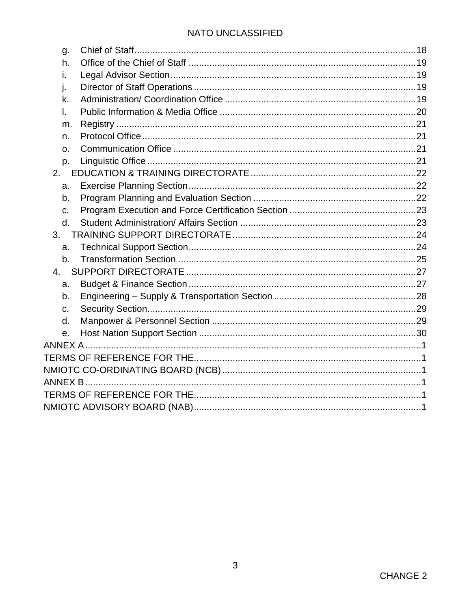| g.             |  |
|----------------|--|
| h.             |  |
| i.             |  |
| j.             |  |
| k.             |  |
| I.             |  |
| m.             |  |
| n.             |  |
| O <sub>1</sub> |  |
| p.             |  |
| 2.             |  |
| a.             |  |
| b.             |  |
| C.             |  |
| d.             |  |
| 3.             |  |
| a.             |  |
| b <sub>1</sub> |  |
| 4.             |  |
| a.             |  |
| b.             |  |
| C.             |  |
| d.             |  |
| е.             |  |
|                |  |
|                |  |
|                |  |
|                |  |
|                |  |
|                |  |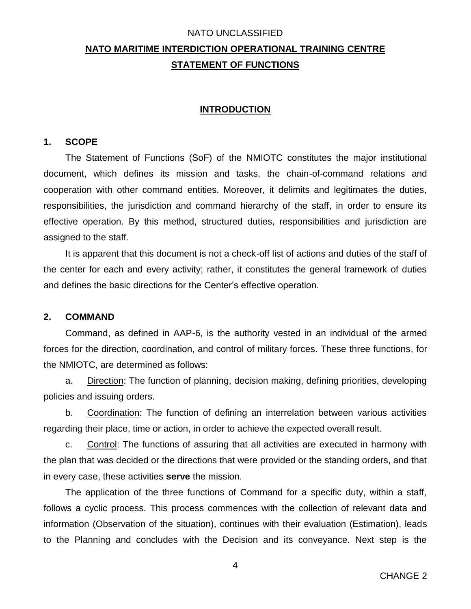# **NATO MARITIME INTERDICTION OPERATIONAL TRAINING CENTRE STATEMENT OF FUNCTIONS**

#### **INTRODUCTION**

#### <span id="page-4-1"></span><span id="page-4-0"></span>**1. SCOPE**

The Statement of Functions (SoF) of the NMIOTC constitutes the major institutional document, which defines its mission and tasks, the chain-of-command relations and cooperation with other command entities. Moreover, it delimits and legitimates the duties, responsibilities, the jurisdiction and command hierarchy of the staff, in order to ensure its effective operation. By this method, structured duties, responsibilities and jurisdiction are assigned to the staff.

It is apparent that this document is not a check-off list of actions and duties of the staff of the center for each and every activity; rather, it constitutes the general framework of duties and defines the basic directions for the Center's effective operation.

#### <span id="page-4-2"></span>**2. COMMAND**

Command, as defined in AAP-6, is the authority vested in an individual of the armed forces for the direction, coordination, and control of military forces. These three functions, for the NMIOTC, are determined as follows:

a. Direction: The function of planning, decision making, defining priorities, developing policies and issuing orders.

b. Coordination: The function of defining an interrelation between various activities regarding their place, time or action, in order to achieve the expected overall result.

c. Control: The functions of assuring that all activities are executed in harmony with the plan that was decided or the directions that were provided or the standing orders, and that in every case, these activities **serve** the mission.

The application of the three functions of Command for a specific duty, within a staff, follows a cyclic process. This process commences with the collection of relevant data and information (Observation of the situation), continues with their evaluation (Estimation), leads to the Planning and concludes with the Decision and its conveyance. Next step is the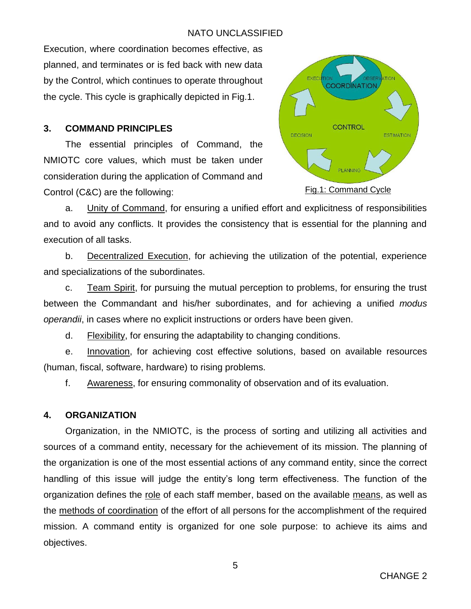Execution, where coordination becomes effective, as planned, and terminates or is fed back with new data by the Control, which continues to operate throughout the cycle. This cycle is graphically depicted in Fig.1.

#### <span id="page-5-0"></span>**3. COMMAND PRINCIPLES**

The essential principles of Command, the NMIOTC core values, which must be taken under consideration during the application of Command and Control (C&C) are the following:



a. Unity of Command, for ensuring a unified effort and explicitness of responsibilities and to avoid any conflicts. It provides the consistency that is essential for the planning and execution of all tasks.

b. Decentralized Execution, for achieving the utilization of the potential, experience and specializations of the subordinates.

c. Team Spirit, for pursuing the mutual perception to problems, for ensuring the trust between the Commandant and his/her subordinates, and for achieving a unified *modus operandii*, in cases where no explicit instructions or orders have been given.

d. Flexibility, for ensuring the adaptability to changing conditions.

e. Innovation, for achieving cost effective solutions, based on available resources (human, fiscal, software, hardware) to rising problems.

f. Awareness, for ensuring commonality of observation and of its evaluation.

#### <span id="page-5-1"></span>**4. ORGANIZATION**

Organization, in the NMIOTC, is the process of sorting and utilizing all activities and sources of a command entity, necessary for the achievement of its mission. The planning of the organization is one of the most essential actions of any command entity, since the correct handling of this issue will judge the entity's long term effectiveness. The function of the organization defines the role of each staff member, based on the available means, as well as the methods of coordination of the effort of all persons for the accomplishment of the required mission. A command entity is organized for one sole purpose: to achieve its aims and objectives.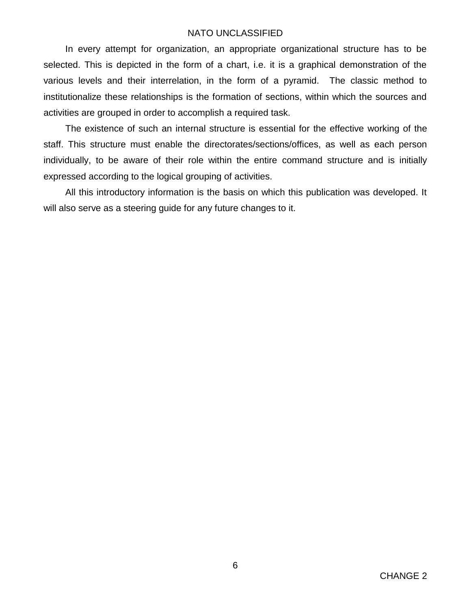In every attempt for organization, an appropriate organizational structure has to be selected. This is depicted in the form of a chart, i.e. it is a graphical demonstration of the various levels and their interrelation, in the form of a pyramid. The classic method to institutionalize these relationships is the formation of sections, within which the sources and activities are grouped in order to accomplish a required task.

The existence of such an internal structure is essential for the effective working of the staff. This structure must enable the directorates/sections/offices, as well as each person individually, to be aware of their role within the entire command structure and is initially expressed according to the logical grouping of activities.

All this introductory information is the basis on which this publication was developed. It will also serve as a steering guide for any future changes to it.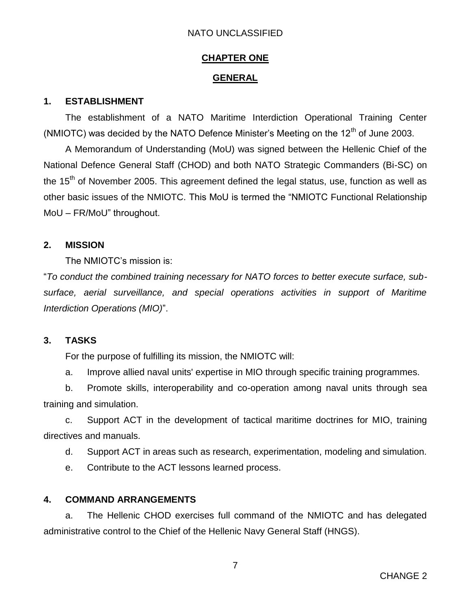#### **CHAPTER ONE**

#### **GENERAL**

#### <span id="page-7-2"></span><span id="page-7-1"></span><span id="page-7-0"></span>**1. ESTABLISHMENT**

The establishment of a NATO Maritime Interdiction Operational Training Center (NMIOTC) was decided by the NATO Defence Minister's Meeting on the  $12<sup>th</sup>$  of June 2003.

A Memorandum of Understanding (MoU) was signed between the Hellenic Chief of the National Defence General Staff (CHOD) and both NATO Strategic Commanders (Bi-SC) on the 15<sup>th</sup> of November 2005. This agreement defined the legal status, use, function as well as other basic issues of the NMIOTC. This MoU is termed the "NMIOTC Functional Relationship MoU – FR/MoU" throughout.

#### <span id="page-7-3"></span>**2. MISSION**

The NMIOTC's mission is:

"*To conduct the combined training necessary for NATO forces to better execute surface, subsurface, aerial surveillance, and special operations activities in support of Maritime Interdiction Operations (MIO)*".

#### <span id="page-7-4"></span>**3. TASKS**

For the purpose of fulfilling its mission, the NMIOTC will:

a. Improve allied naval units' expertise in MIO through specific training programmes.

b. Promote skills, interoperability and co-operation among naval units through sea training and simulation.

c. Support ACT in the development of tactical maritime doctrines for MIO, training directives and manuals.

d. Support ACT in areas such as research, experimentation, modeling and simulation.

e. Contribute to the ACT lessons learned process.

#### <span id="page-7-5"></span>**4. COMMAND ARRANGEMENTS**

a. The Hellenic CHOD exercises full command of the NMIOTC and has delegated administrative control to the Chief of the Hellenic Navy General Staff (HNGS).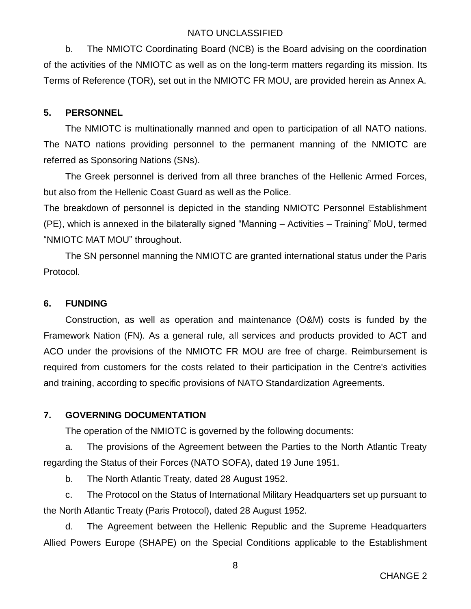b. The NMIOTC Coordinating Board (NCB) is the Board advising on the coordination of the activities of the NMIOTC as well as on the long-term matters regarding its mission. Its Terms of Reference (TOR), set out in the NMIOTC FR MOU, are provided herein as Annex A.

### <span id="page-8-0"></span>**5. PERSONNEL**

The NMIOTC is multinationally manned and open to participation of all NATO nations. The NATO nations providing personnel to the permanent manning of the NMIOTC are referred as Sponsoring Nations (SNs).

The Greek personnel is derived from all three branches of the Hellenic Armed Forces, but also from the Hellenic Coast Guard as well as the Police.

The breakdown of personnel is depicted in the standing NMIOTC Personnel Establishment (PE), which is annexed in the bilaterally signed "Manning – Activities – Training" MoU, termed "NMIOTC MAT MOU" throughout.

The SN personnel manning the NMIOTC are granted international status under the Paris Protocol.

### <span id="page-8-1"></span>**6. FUNDING**

Construction, as well as operation and maintenance (O&M) costs is funded by the Framework Nation (FN). As a general rule, all services and products provided to ACT and ACO under the provisions of the NMIOTC FR MOU are free of charge. Reimbursement is required from customers for the costs related to their participation in the Centre's activities and training, according to specific provisions of NATO Standardization Agreements.

### <span id="page-8-2"></span>**7. GOVERNING DOCUMENTATION**

The operation of the NMIOTC is governed by the following documents:

a. The provisions of the Agreement between the Parties to the North Atlantic Treaty regarding the Status of their Forces (NATO SOFA), dated 19 June 1951.

b. The North Atlantic Treaty, dated 28 August 1952.

c. The Protocol on the Status of International Military Headquarters set up pursuant to the North Atlantic Treaty (Paris Protocol), dated 28 August 1952.

d. The Agreement between the Hellenic Republic and the Supreme Headquarters Allied Powers Europe (SHAPE) on the Special Conditions applicable to the Establishment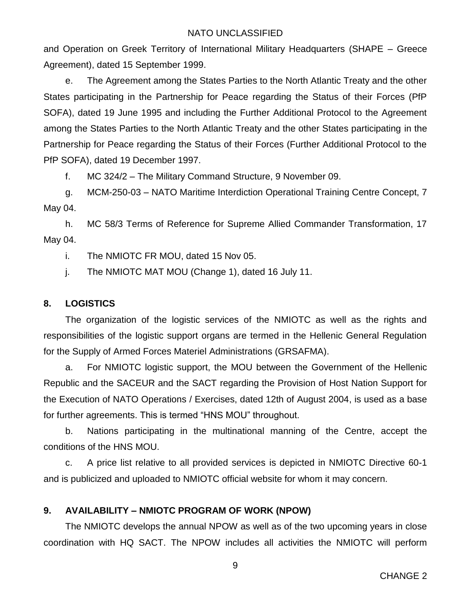and Operation on Greek Territory of International Military Headquarters (SHAPE – Greece Agreement), dated 15 September 1999.

e. The Agreement among the States Parties to the North Atlantic Treaty and the other States participating in the Partnership for Peace regarding the Status of their Forces (PfP SOFA), dated 19 June 1995 and including the Further Additional Protocol to the Agreement among the States Parties to the North Atlantic Treaty and the other States participating in the Partnership for Peace regarding the Status of their Forces (Further Additional Protocol to the PfP SOFA), dated 19 December 1997.

f. MC 324/2 – The Military Command Structure, 9 November 09.

g. MCM-250-03 – NATO Maritime Interdiction Operational Training Centre Concept, 7 May 04.

h. MC 58/3 Terms of Reference for Supreme Allied Commander Transformation, 17 May 04.

i. The NMIOTC FR MOU, dated 15 Nov 05.

j. The NMIOTC MAT MOU (Change 1), dated 16 July 11.

#### <span id="page-9-0"></span>**8. LOGISTICS**

The organization of the logistic services of the NMIOTC as well as the rights and responsibilities of the logistic support organs are termed in the Hellenic General Regulation for the Supply of Armed Forces Materiel Administrations (GRSAFMA).

a. For NMIOTC logistic support, the MOU between the Government of the Hellenic Republic and the SACEUR and the SACT regarding the Provision of Host Nation Support for the Execution of NATO Operations / Exercises, dated 12th of August 2004, is used as a base for further agreements. This is termed "HNS MOU" throughout.

b. Nations participating in the multinational manning of the Centre, accept the conditions of the HNS MOU.

c. A price list relative to all provided services is depicted in NMIOTC Directive 60-1 and is publicized and uploaded to NMIOTC official website for whom it may concern.

### <span id="page-9-1"></span>**9. AVAILABILITY – NMIOTC PROGRAM OF WORK (NPOW)**

The NMIOTC develops the annual NPOW as well as of the two upcoming years in close coordination with HQ SACT. The NPOW includes all activities the NMIOTC will perform

9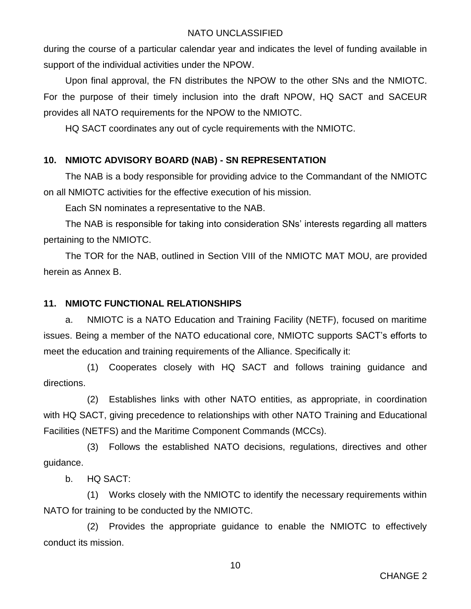during the course of a particular calendar year and indicates the level of funding available in support of the individual activities under the NPOW.

Upon final approval, the FN distributes the NPOW to the other SNs and the NMIOTC. For the purpose of their timely inclusion into the draft NPOW, HQ SACT and SACEUR provides all NATO requirements for the NPOW to the NMIOTC.

HQ SACT coordinates any out of cycle requirements with the NMIOTC.

### <span id="page-10-0"></span>**10. NMIOTC ADVISORY BOARD (NAB) - SN REPRESENTATION**

The NAB is a body responsible for providing advice to the Commandant of the NMIOTC on all NMIOTC activities for the effective execution of his mission.

Each SN nominates a representative to the NAB.

The NAB is responsible for taking into consideration SNs' interests regarding all matters pertaining to the NMIOTC.

The TOR for the NAB, outlined in Section VIII of the NMIOTC MAT MOU, are provided herein as Annex B.

#### <span id="page-10-1"></span>**11. NMIOTC FUNCTIONAL RELATIONSHIPS**

a. NMIOTC is a NATO Education and Training Facility (NETF), focused on maritime issues. Being a member of the NATO educational core, NMIOTC supports SACT's efforts to meet the education and training requirements of the Alliance. Specifically it:

(1) Cooperates closely with HQ SACT and follows training guidance and directions.

(2) Establishes links with other NATO entities, as appropriate, in coordination with HQ SACT, giving precedence to relationships with other NATO Training and Educational Facilities (NETFS) and the Maritime Component Commands (MCCs).

(3) Follows the established NATO decisions, regulations, directives and other guidance.

b. HQ SACT:

(1) Works closely with the NMIOTC to identify the necessary requirements within NATO for training to be conducted by the NMIOTC.

(2) Provides the appropriate guidance to enable the NMIOTC to effectively conduct its mission.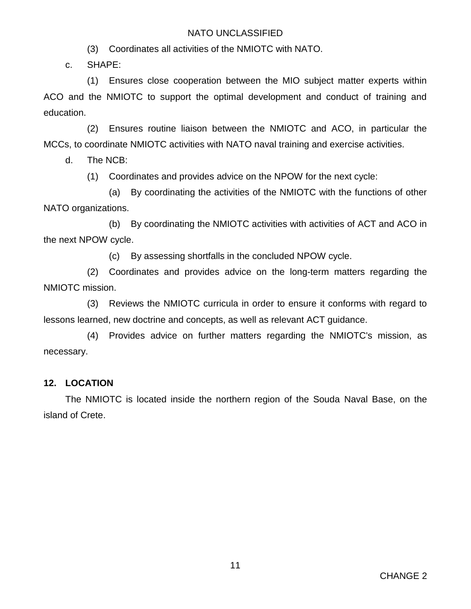(3) Coordinates all activities of the NMIOTC with NATO.

c. SHAPE:

(1) Ensures close cooperation between the MIO subject matter experts within ACO and the NMIOTC to support the optimal development and conduct of training and education.

(2) Ensures routine liaison between the NMIOTC and ACO, in particular the MCCs, to coordinate NMIOTC activities with NATO naval training and exercise activities.

d. The NCB:

(1) Coordinates and provides advice on the NPOW for the next cycle:

(a) By coordinating the activities of the NMIOTC with the functions of other NATO organizations.

(b) By coordinating the NMIOTC activities with activities of ACT and ACO in the next NPOW cycle.

(c) By assessing shortfalls in the concluded NPOW cycle.

(2) Coordinates and provides advice on the long-term matters regarding the NMIOTC mission.

(3) Reviews the NMIOTC curricula in order to ensure it conforms with regard to lessons learned, new doctrine and concepts, as well as relevant ACT guidance.

(4) Provides advice on further matters regarding the NMIOTC's mission, as necessary.

### <span id="page-11-0"></span>**12. LOCATION**

The NMIOTC is located inside the northern region of the Souda Naval Base, on the island of Crete.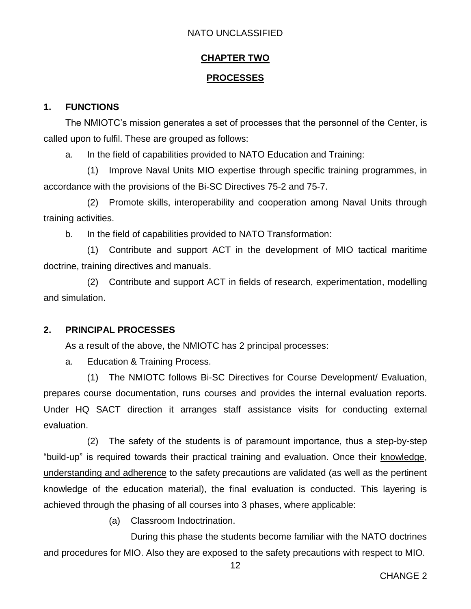#### **CHAPTER TWO**

#### **PROCESSES**

#### <span id="page-12-2"></span><span id="page-12-1"></span><span id="page-12-0"></span>**1. FUNCTIONS**

The NMIOTC's mission generates a set of processes that the personnel of the Center, is called upon to fulfil. These are grouped as follows:

a. In the field of capabilities provided to NATO Education and Training:

(1) Improve Naval Units MIO expertise through specific training programmes, in accordance with the provisions of the Bi-SC Directives 75-2 and 75-7.

(2) Promote skills, interoperability and cooperation among Naval Units through training activities.

b. In the field of capabilities provided to NATO Transformation:

(1) Contribute and support ACT in the development of MIO tactical maritime doctrine, training directives and manuals.

(2) Contribute and support ACT in fields of research, experimentation, modelling and simulation.

#### <span id="page-12-3"></span>**2. PRINCIPAL PROCESSES**

As a result of the above, the NMIOTC has 2 principal processes:

a. Education & Training Process.

(1) The NMIOTC follows Bi-SC Directives for Course Development/ Evaluation, prepares course documentation, runs courses and provides the internal evaluation reports. Under HQ SACT direction it arranges staff assistance visits for conducting external evaluation.

(2) The safety of the students is of paramount importance, thus a step-by-step "build-up" is required towards their practical training and evaluation. Once their knowledge, understanding and adherence to the safety precautions are validated (as well as the pertinent knowledge of the education material), the final evaluation is conducted. This layering is achieved through the phasing of all courses into 3 phases, where applicable:

(a) Classroom Indoctrination.

During this phase the students become familiar with the NATO doctrines and procedures for MIO. Also they are exposed to the safety precautions with respect to MIO.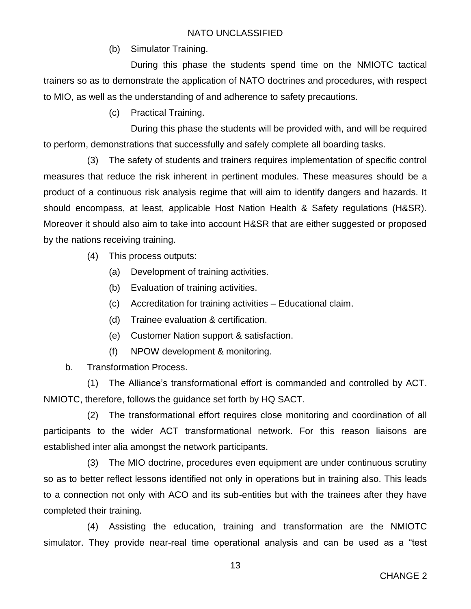(b) Simulator Training.

During this phase the students spend time on the NMIOTC tactical trainers so as to demonstrate the application of NATO doctrines and procedures, with respect to MIO, as well as the understanding of and adherence to safety precautions.

(c) Practical Training.

During this phase the students will be provided with, and will be required to perform, demonstrations that successfully and safely complete all boarding tasks.

(3) The safety of students and trainers requires implementation of specific control measures that reduce the risk inherent in pertinent modules. These measures should be a product of a continuous risk analysis regime that will aim to identify dangers and hazards. It should encompass, at least, applicable Host Nation Health & Safety regulations (H&SR). Moreover it should also aim to take into account H&SR that are either suggested or proposed by the nations receiving training.

- (4) This process outputs:
	- (a) Development of training activities.
	- (b) Evaluation of training activities.
	- (c) Accreditation for training activities Educational claim.
	- (d) Trainee evaluation & certification.
	- (e) Customer Nation support & satisfaction.
	- (f) NPOW development & monitoring.

b. Transformation Process.

(1) The Alliance's transformational effort is commanded and controlled by ACT. NMIOTC, therefore, follows the guidance set forth by HQ SACT.

(2) The transformational effort requires close monitoring and coordination of all participants to the wider ACT transformational network. For this reason liaisons are established inter alia amongst the network participants.

(3) The MIO doctrine, procedures even equipment are under continuous scrutiny so as to better reflect lessons identified not only in operations but in training also. This leads to a connection not only with ACO and its sub-entities but with the trainees after they have completed their training.

(4) Assisting the education, training and transformation are the NMIOTC simulator. They provide near-real time operational analysis and can be used as a "test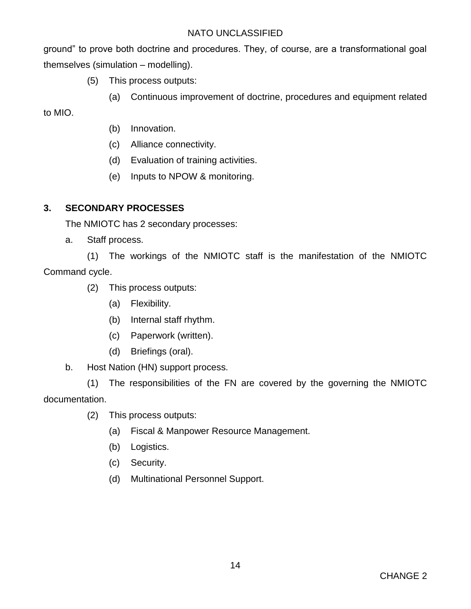ground" to prove both doctrine and procedures. They, of course, are a transformational goal themselves (simulation – modelling).

- (5) This process outputs:
	- (a) Continuous improvement of doctrine, procedures and equipment related

to MIO.

- (b) Innovation.
- (c) Alliance connectivity.
- (d) Evaluation of training activities.
- (e) Inputs to NPOW & monitoring.

#### <span id="page-14-0"></span>**3. SECONDARY PROCESSES**

The NMIOTC has 2 secondary processes:

a. Staff process.

(1) The workings of the NMIOTC staff is the manifestation of the NMIOTC Command cycle.

- (2) This process outputs:
	- (a) Flexibility.
	- (b) Internal staff rhythm.
	- (c) Paperwork (written).
	- (d) Briefings (oral).

#### b. Host Nation (HN) support process.

(1) The responsibilities of the FN are covered by the governing the NMIOTC documentation.

- (2) This process outputs:
	- (a) Fiscal & Manpower Resource Management.
	- (b) Logistics.
	- (c) Security.
	- (d) Multinational Personnel Support.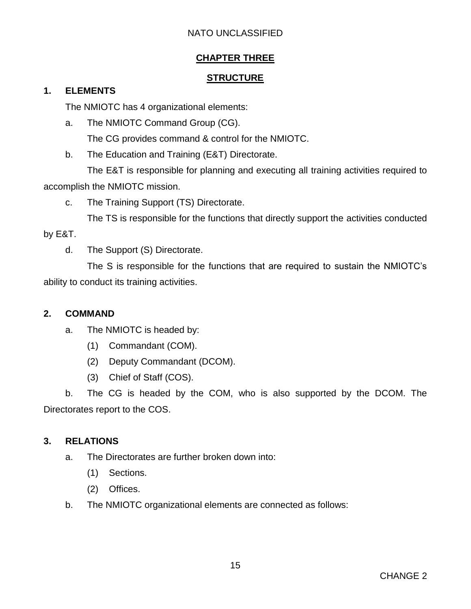### **CHAPTER THREE**

#### **STRUCTURE**

#### <span id="page-15-2"></span><span id="page-15-1"></span><span id="page-15-0"></span>**1. ELEMENTS**

The NMIOTC has 4 organizational elements:

a. The NMIOTC Command Group (CG).

The CG provides command & control for the NMIOTC.

b. The Education and Training (E&T) Directorate.

The E&T is responsible for planning and executing all training activities required to accomplish the NMIOTC mission.

c. The Training Support (TS) Directorate.

The TS is responsible for the functions that directly support the activities conducted

by E&T.

d. The Support (S) Directorate.

The S is responsible for the functions that are required to sustain the NMIOTC's ability to conduct its training activities.

### <span id="page-15-3"></span>**2. COMMAND**

- a. The NMIOTC is headed by:
	- (1) Commandant (COM).
	- (2) Deputy Commandant (DCOM).
	- (3) Chief of Staff (COS).

b. The CG is headed by the COM, who is also supported by the DCOM. The Directorates report to the COS.

### <span id="page-15-4"></span>**3. RELATIONS**

- a. The Directorates are further broken down into:
	- (1) Sections.
	- (2) Offices.
- b. The NMIOTC organizational elements are connected as follows: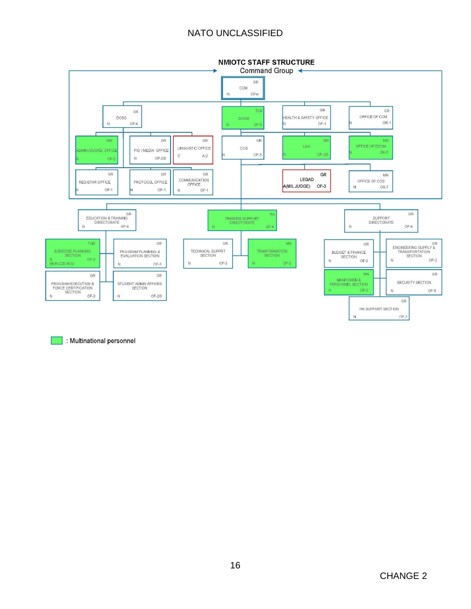

: Multinational personnel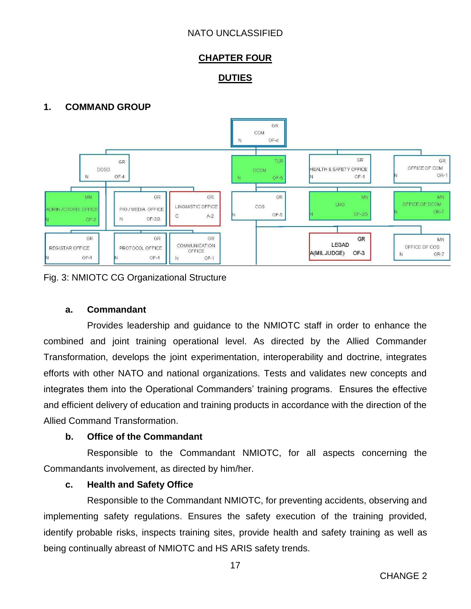### **CHAPTER FOUR**

### **DUTIES**

### <span id="page-17-2"></span><span id="page-17-1"></span><span id="page-17-0"></span>**1. COMMAND GROUP**



#### Fig. 3: NMIOTC CG Organizational Structure

#### <span id="page-17-3"></span>**a. Commandant**

Provides leadership and guidance to the NMIOTC staff in order to enhance the combined and joint training operational level. As directed by the Allied Commander Transformation, develops the joint experimentation, interoperability and doctrine, integrates efforts with other NATO and national organizations. Tests and validates new concepts and integrates them into the Operational Commanders' training programs. Ensures the effective and efficient delivery of education and training products in accordance with the direction of the Allied Command Transformation.

#### <span id="page-17-4"></span>**b. Office of the Commandant**

Responsible to the Commandant NMIOTC, for all aspects concerning the Commandants involvement, as directed by him/her.

#### <span id="page-17-5"></span>**c. Health and Safety Office**

Responsible to the Commandant NMIOTC, for preventing accidents, observing and implementing safety regulations. Ensures the safety execution of the training provided, identify probable risks, inspects training sites, provide health and safety training as well as being continually abreast of NMIOTC and HS ARIS safety trends.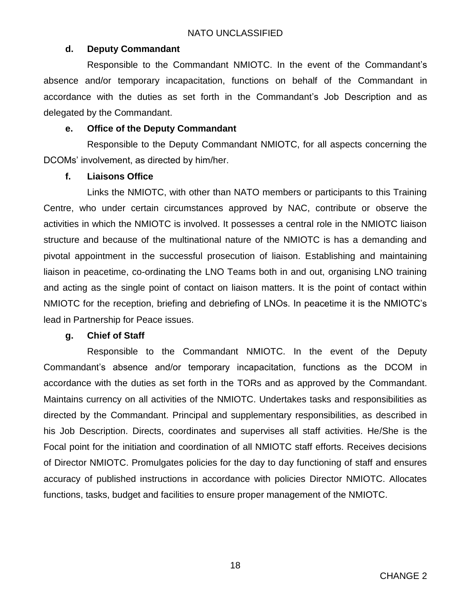### <span id="page-18-0"></span>**d. Deputy Commandant**

Responsible to the Commandant NMIOTC. In the event of the Commandant's absence and/or temporary incapacitation, functions on behalf of the Commandant in accordance with the duties as set forth in the Commandant's Job Description and as delegated by the Commandant.

### <span id="page-18-1"></span>**e. Office of the Deputy Commandant**

Responsible to the Deputy Commandant NMIOTC, for all aspects concerning the DCOMs' involvement, as directed by him/her.

### <span id="page-18-2"></span>**f. Liaisons Office**

Links the NMIOTC, with other than NATO members or participants to this Training Centre, who under certain circumstances approved by NAC, contribute or observe the activities in which the NMIOTC is involved. It possesses a central role in the NMIOTC liaison structure and because of the multinational nature of the NMIOTC is has a demanding and pivotal appointment in the successful prosecution of liaison. Establishing and maintaining liaison in peacetime, co-ordinating the LNO Teams both in and out, organising LNO training and acting as the single point of contact on liaison matters. It is the point of contact within NMIOTC for the reception, briefing and debriefing of LNOs. In peacetime it is the NMIOTC's lead in Partnership for Peace issues.

### <span id="page-18-3"></span>**g. Chief of Staff**

Responsible to the Commandant NMIOTC. In the event of the Deputy Commandant's absence and/or temporary incapacitation, functions as the DCOM in accordance with the duties as set forth in the TORs and as approved by the Commandant. Maintains currency on all activities of the NMIOTC. Undertakes tasks and responsibilities as directed by the Commandant. Principal and supplementary responsibilities, as described in his Job Description. Directs, coordinates and supervises all staff activities. He/She is the Focal point for the initiation and coordination of all NMIOTC staff efforts. Receives decisions of Director NMIOTC. Promulgates policies for the day to day functioning of staff and ensures accuracy of published instructions in accordance with policies Director NMIOTC. Allocates functions, tasks, budget and facilities to ensure proper management of the NMIOTC.

18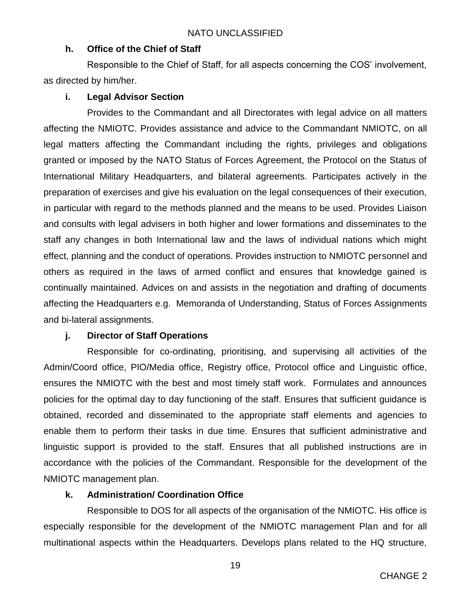### <span id="page-19-0"></span>**h. Office of the Chief of Staff**

Responsible to the Chief of Staff, for all aspects concerning the COS' involvement, as directed by him/her.

### <span id="page-19-1"></span>**i. Legal Advisor Section**

Provides to the Commandant and all Directorates with legal advice on all matters affecting the NMIOTC. Provides assistance and advice to the Commandant NMIOTC, on all legal matters affecting the Commandant including the rights, privileges and obligations granted or imposed by the NATO Status of Forces Agreement, the Protocol on the Status of International Military Headquarters, and bilateral agreements. Participates actively in the preparation of exercises and give his evaluation on the legal consequences of their execution, in particular with regard to the methods planned and the means to be used. Provides Liaison and consults with legal advisers in both higher and lower formations and disseminates to the staff any changes in both International law and the laws of individual nations which might effect, planning and the conduct of operations. Provides instruction to NMIOTC personnel and others as required in the laws of armed conflict and ensures that knowledge gained is continually maintained. Advices on and assists in the negotiation and drafting of documents affecting the Headquarters e.g. Memoranda of Understanding, Status of Forces Assignments and bi-lateral assignments.

### <span id="page-19-2"></span>**j. Director of Staff Operations**

Responsible for co-ordinating, prioritising, and supervising all activities of the Admin/Coord office, PIO/Media office, Registry office, Protocol office and Linguistic office, ensures the NMIOTC with the best and most timely staff work. Formulates and announces policies for the optimal day to day functioning of the staff. Ensures that sufficient guidance is obtained, recorded and disseminated to the appropriate staff elements and agencies to enable them to perform their tasks in due time. Ensures that sufficient administrative and linguistic support is provided to the staff. Ensures that all published instructions are in accordance with the policies of the Commandant. Responsible for the development of the NMIOTC management plan.

### <span id="page-19-3"></span>**k. Administration/ Coordination Office**

Responsible to DOS for all aspects of the organisation of the NMIOTC. His office is especially responsible for the development of the NMIOTC management Plan and for all multinational aspects within the Headquarters. Develops plans related to the HQ structure,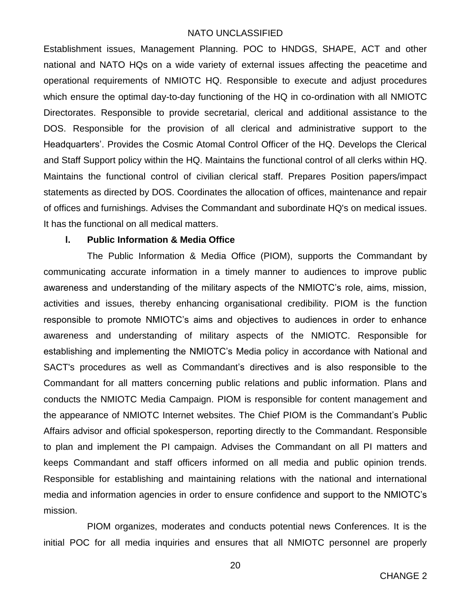Establishment issues, Management Planning. POC to HNDGS, SHAPE, ACT and other national and NATO HQs on a wide variety of external issues affecting the peacetime and operational requirements of NMIOTC HQ. Responsible to execute and adjust procedures which ensure the optimal day-to-day functioning of the HQ in co-ordination with all NMIOTC Directorates. Responsible to provide secretarial, clerical and additional assistance to the DOS. Responsible for the provision of all clerical and administrative support to the Headquarters'. Provides the Cosmic Atomal Control Officer of the HQ. Develops the Clerical and Staff Support policy within the HQ. Maintains the functional control of all clerks within HQ. Maintains the functional control of civilian clerical staff. Prepares Position papers/impact statements as directed by DOS. Coordinates the allocation of offices, maintenance and repair of offices and furnishings. Advises the Commandant and subordinate HQ's on medical issues. It has the functional on all medical matters.

#### <span id="page-20-0"></span>**l. Public Information & Media Office**

The Public Information & Media Office (PIOM), supports the Commandant by communicating accurate information in a timely manner to audiences to improve public awareness and understanding of the military aspects of the NMIOTC's role, aims, mission, activities and issues, thereby enhancing organisational credibility. PIOM is the function responsible to promote NMIOTC's aims and objectives to audiences in order to enhance awareness and understanding of military aspects of the NMIOTC. Responsible for establishing and implementing the NMIOTC's Media policy in accordance with National and SACT's procedures as well as Commandant's directives and is also responsible to the Commandant for all matters concerning public relations and public information. Plans and conducts the NMIOTC Media Campaign. PIOM is responsible for content management and the appearance of NMIOTC Internet websites. The Chief PIOM is the Commandant's Public Affairs advisor and official spokesperson, reporting directly to the Commandant. Responsible to plan and implement the PI campaign. Advises the Commandant on all PI matters and keeps Commandant and staff officers informed on all media and public opinion trends. Responsible for establishing and maintaining relations with the national and international media and information agencies in order to ensure confidence and support to the NMIOTC's mission.

PIOM organizes, moderates and conducts potential news Conferences. It is the initial POC for all media inquiries and ensures that all NMIOTC personnel are properly

20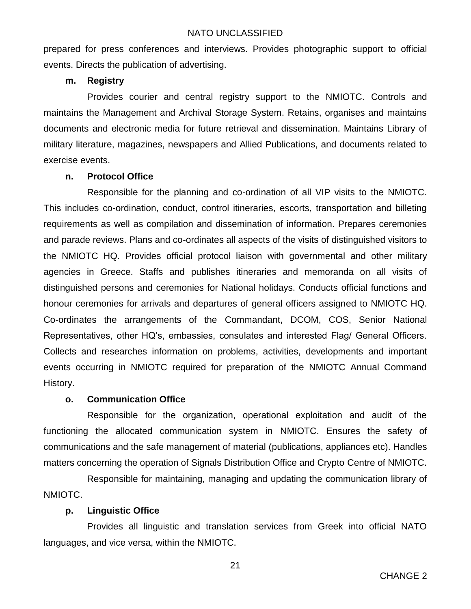prepared for press conferences and interviews. Provides photographic support to official events. Directs the publication of advertising.

#### <span id="page-21-0"></span>**m. Registry**

Provides courier and central registry support to the NMIOTC. Controls and maintains the Management and Archival Storage System. Retains, organises and maintains documents and electronic media for future retrieval and dissemination. Maintains Library of military literature, magazines, newspapers and Allied Publications, and documents related to exercise events.

#### <span id="page-21-1"></span>**n. Protocol Office**

Responsible for the planning and co-ordination of all VIP visits to the NMIOTC. This includes co-ordination, conduct, control itineraries, escorts, transportation and billeting requirements as well as compilation and dissemination of information. Prepares ceremonies and parade reviews. Plans and co-ordinates all aspects of the visits of distinguished visitors to the NMIOTC HQ. Provides official protocol liaison with governmental and other military agencies in Greece. Staffs and publishes itineraries and memoranda on all visits of distinguished persons and ceremonies for National holidays. Conducts official functions and honour ceremonies for arrivals and departures of general officers assigned to NMIOTC HQ. Co-ordinates the arrangements of the Commandant, DCOM, COS, Senior National Representatives, other HQ's, embassies, consulates and interested Flag/ General Officers. Collects and researches information on problems, activities, developments and important events occurring in NMIOTC required for preparation of the NMIOTC Annual Command History.

### <span id="page-21-2"></span>**o. Communication Office**

Responsible for the organization, operational exploitation and audit of the functioning the allocated communication system in NMIOTC. Ensures the safety of communications and the safe management of material (publications, appliances etc). Handles matters concerning the operation of Signals Distribution Office and Crypto Centre of NMIOTC.

Responsible for maintaining, managing and updating the communication library of NMIOTC.

### <span id="page-21-3"></span>**p. Linguistic Office**

Provides all linguistic and translation services from Greek into official NATO languages, and vice versa, within the NMIOTC.

21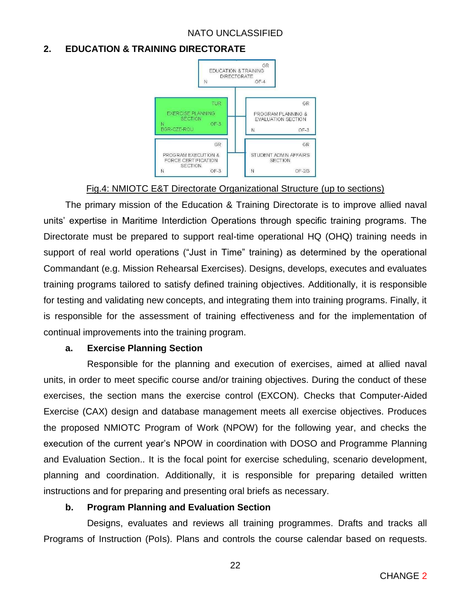#### <span id="page-22-0"></span>**2. EDUCATION & TRAINING DIRECTORATE**



#### Fig.4: NMIOTC E&T Directorate Organizational Structure (up to sections)

The primary mission of the Education & Training Directorate is to improve allied naval units' expertise in Maritime Interdiction Operations through specific training programs. The Directorate must be prepared to support real-time operational HQ (OHQ) training needs in support of real world operations ("Just in Time" training) as determined by the operational Commandant (e.g. Mission Rehearsal Exercises). Designs, develops, executes and evaluates training programs tailored to satisfy defined training objectives. Additionally, it is responsible for testing and validating new concepts, and integrating them into training programs. Finally, it is responsible for the assessment of training effectiveness and for the implementation of continual improvements into the training program.

#### <span id="page-22-1"></span>**a. Exercise Planning Section**

Responsible for the planning and execution of exercises, aimed at allied naval units, in order to meet specific course and/or training objectives. During the conduct of these exercises, the section mans the exercise control (EXCON). Checks that Computer-Aided Exercise (CAX) design and database management meets all exercise objectives. Produces the proposed NMIOTC Program of Work (NPOW) for the following year, and checks the execution of the current year's NPOW in coordination with DOSO and Programme Planning and Evaluation Section.. It is the focal point for exercise scheduling, scenario development, planning and coordination. Additionally, it is responsible for preparing detailed written instructions and for preparing and presenting oral briefs as necessary.

#### <span id="page-22-2"></span>**b. Program Planning and Evaluation Section**

Designs, evaluates and reviews all training programmes. Drafts and tracks all Programs of Instruction (PoIs). Plans and controls the course calendar based on requests.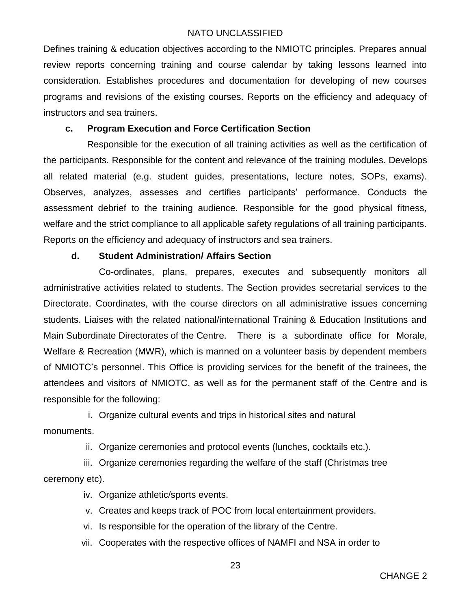Defines training & education objectives according to the NMIOTC principles. Prepares annual review reports concerning training and course calendar by taking lessons learned into consideration. Establishes procedures and documentation for developing of new courses programs and revisions of the existing courses. Reports on the efficiency and adequacy of instructors and sea trainers.

#### <span id="page-23-0"></span>**c. Program Execution and Force Certification Section**

Responsible for the execution of all training activities as well as the certification of the participants. Responsible for the content and relevance of the training modules. Develops all related material (e.g. student guides, presentations, lecture notes, SOPs, exams). Observes, analyzes, assesses and certifies participants' performance. Conducts the assessment debrief to the training audience. Responsible for the good physical fitness, welfare and the strict compliance to all applicable safety regulations of all training participants. Reports on the efficiency and adequacy of instructors and sea trainers.

#### <span id="page-23-1"></span>**d. Student Administration/ Affairs Section**

Co-ordinates, plans, prepares, executes and subsequently monitors all administrative activities related to students. The Section provides secretarial services to the Directorate. Coordinates, with the course directors on all administrative issues concerning students. Liaises with the related national/international Training & Education Institutions and Main Subordinate Directorates of the Centre. There is a subordinate office for Morale, Welfare & Recreation (MWR), which is manned on a volunteer basis by dependent members of NMIOTC's personnel. This Office is providing services for the benefit of the trainees, the attendees and visitors of NMIOTC, as well as for the permanent staff of the Centre and is responsible for the following:

i. Organize cultural events and trips in historical sites and natural

monuments.

ii. Organize ceremonies and protocol events (lunches, cocktails etc.).

iii. Organize ceremonies regarding the welfare of the staff (Christmas tree ceremony etc).

iv. Organize athletic/sports events.

v. Creates and keeps track of POC from local entertainment providers.

vi. Is responsible for the operation of the library of the Centre.

vii. Cooperates with the respective offices of NAMFI and NSA in order to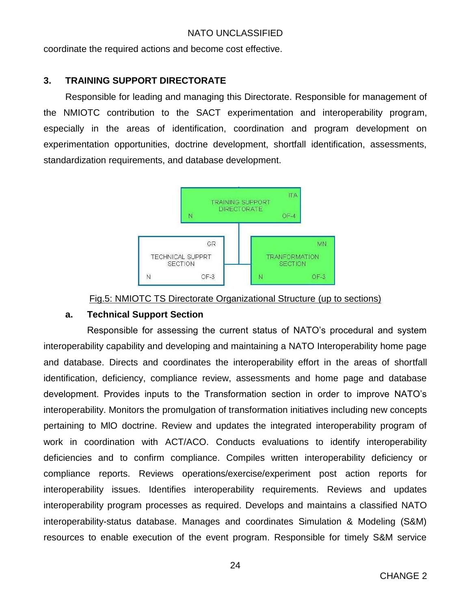coordinate the required actions and become cost effective.

### <span id="page-24-0"></span>**3. TRAINING SUPPORT DIRECTORATE**

Responsible for leading and managing this Directorate. Responsible for management of the NMIOTC contribution to the SACT experimentation and interoperability program, especially in the areas of identification, coordination and program development on experimentation opportunities, doctrine development, shortfall identification, assessments, standardization requirements, and database development.



#### Fig.5: NMIOTC TS Directorate Organizational Structure (up to sections)

#### <span id="page-24-1"></span>**a. Technical Support Section**

Responsible for assessing the current status of NATO's procedural and system interoperability capability and developing and maintaining a NATO Interoperability home page and database. Directs and coordinates the interoperability effort in the areas of shortfall identification, deficiency, compliance review, assessments and home page and database development. Provides inputs to the Transformation section in order to improve NATO's interoperability. Monitors the promulgation of transformation initiatives including new concepts pertaining to MlO doctrine. Review and updates the integrated interoperability program of work in coordination with ACT/ACO. Conducts evaluations to identify interoperability deficiencies and to confirm compliance. Compiles written interoperability deficiency or compliance reports. Reviews operations/exercise/experiment post action reports for interoperability issues. Identifies interoperability requirements. Reviews and updates interoperability program processes as required. Develops and maintains a classified NATO interoperability-status database. Manages and coordinates Simulation & Modeling (S&M) resources to enable execution of the event program. Responsible for timely S&M service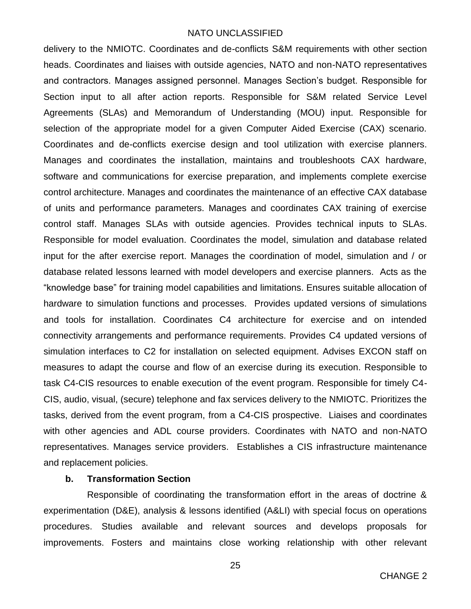delivery to the NMIOTC. Coordinates and de-conflicts S&M requirements with other section heads. Coordinates and liaises with outside agencies, NATO and non-NATO representatives and contractors. Manages assigned personnel. Manages Section's budget. Responsible for Section input to all after action reports. Responsible for S&M related Service Level Agreements (SLAs) and Memorandum of Understanding (MOU) input. Responsible for selection of the appropriate model for a given Computer Aided Exercise (CAX) scenario. Coordinates and de-conflicts exercise design and tool utilization with exercise planners. Manages and coordinates the installation, maintains and troubleshoots CAX hardware, software and communications for exercise preparation, and implements complete exercise control architecture. Manages and coordinates the maintenance of an effective CAX database of units and performance parameters. Manages and coordinates CAX training of exercise control staff. Manages SLAs with outside agencies. Provides technical inputs to SLAs. Responsible for model evaluation. Coordinates the model, simulation and database related input for the after exercise report. Manages the coordination of model, simulation and / or database related lessons learned with model developers and exercise planners. Acts as the "knowledge base" for training model capabilities and limitations. Ensures suitable allocation of hardware to simulation functions and processes. Provides updated versions of simulations and tools for installation. Coordinates C4 architecture for exercise and on intended connectivity arrangements and performance requirements. Provides C4 updated versions of simulation interfaces to C2 for installation on selected equipment. Advises EXCON staff on measures to adapt the course and flow of an exercise during its execution. Responsible to task C4-CIS resources to enable execution of the event program. Responsible for timely C4- CIS, audio, visual, (secure) telephone and fax services delivery to the NMIOTC. Prioritizes the tasks, derived from the event program, from a C4-CIS prospective. Liaises and coordinates with other agencies and ADL course providers. Coordinates with NATO and non-NATO representatives. Manages service providers. Establishes a CIS infrastructure maintenance and replacement policies.

#### <span id="page-25-0"></span>**b. Transformation Section**

Responsible of coordinating the transformation effort in the areas of doctrine & experimentation (D&E), analysis & lessons identified (A&LI) with special focus on operations procedures. Studies available and relevant sources and develops proposals for improvements. Fosters and maintains close working relationship with other relevant

25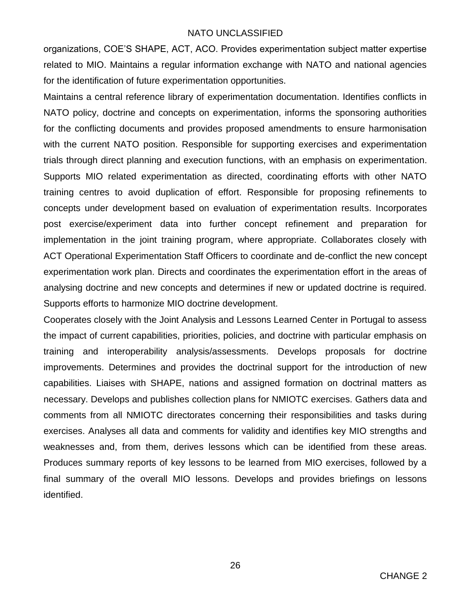organizations, COE'S SHAPE, ACT, ACO. Provides experimentation subject matter expertise related to MIO. Maintains a regular information exchange with NATO and national agencies for the identification of future experimentation opportunities.

Maintains a central reference library of experimentation documentation. Identifies conflicts in NATO policy, doctrine and concepts on experimentation, informs the sponsoring authorities for the conflicting documents and provides proposed amendments to ensure harmonisation with the current NATO position. Responsible for supporting exercises and experimentation trials through direct planning and execution functions, with an emphasis on experimentation. Supports MIO related experimentation as directed, coordinating efforts with other NATO training centres to avoid duplication of effort. Responsible for proposing refinements to concepts under development based on evaluation of experimentation results. Incorporates post exercise/experiment data into further concept refinement and preparation for implementation in the joint training program, where appropriate. Collaborates closely with ACT Operational Experimentation Staff Officers to coordinate and de-conflict the new concept experimentation work plan. Directs and coordinates the experimentation effort in the areas of analysing doctrine and new concepts and determines if new or updated doctrine is required. Supports efforts to harmonize MIO doctrine development.

Cooperates closely with the Joint Analysis and Lessons Learned Center in Portugal to assess the impact of current capabilities, priorities, policies, and doctrine with particular emphasis on training and interoperability analysis/assessments. Develops proposals for doctrine improvements. Determines and provides the doctrinal support for the introduction of new capabilities. Liaises with SHAPE, nations and assigned formation on doctrinal matters as necessary. Develops and publishes collection plans for NMIOTC exercises. Gathers data and comments from all NMIOTC directorates concerning their responsibilities and tasks during exercises. Analyses all data and comments for validity and identifies key MIO strengths and weaknesses and, from them, derives lessons which can be identified from these areas. Produces summary reports of key lessons to be learned from MIO exercises, followed by a final summary of the overall MIO lessons. Develops and provides briefings on lessons identified.

26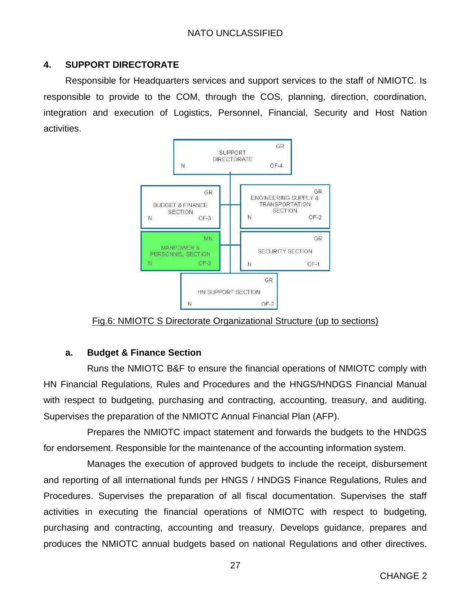### <span id="page-27-0"></span>**4. SUPPORT DIRECTORATE**

Responsible for Headquarters services and support services to the staff of NMIOTC. Is responsible to provide to the COM, through the COS, planning, direction, coordination, integration and execution of Logistics, Personnel, Financial, Security and Host Nation activities.



Fig.6: NMIOTC S Directorate Organizational Structure (up to sections)

### <span id="page-27-1"></span>**a. Budget & Finance Section**

Runs the NMIOTC B&F to ensure the financial operations of NMIOTC comply with HN Financial Regulations, Rules and Procedures and the HNGS/HNDGS Financial Manual with respect to budgeting, purchasing and contracting, accounting, treasury, and auditing. Supervises the preparation of the NMIOTC Annual Financial Plan (AFP).

Prepares the NMIOTC impact statement and forwards the budgets to the HNDGS for endorsement. Responsible for the maintenance of the accounting information system.

Manages the execution of approved budgets to include the receipt, disbursement and reporting of all international funds per HNGS / HNDGS Finance Regulations, Rules and Procedures. Supervises the preparation of all fiscal documentation. Supervises the staff activities in executing the financial operations of NMIOTC with respect to budgeting, purchasing and contracting, accounting and treasury. Develops guidance, prepares and produces the NMIOTC annual budgets based on national Regulations and other directives.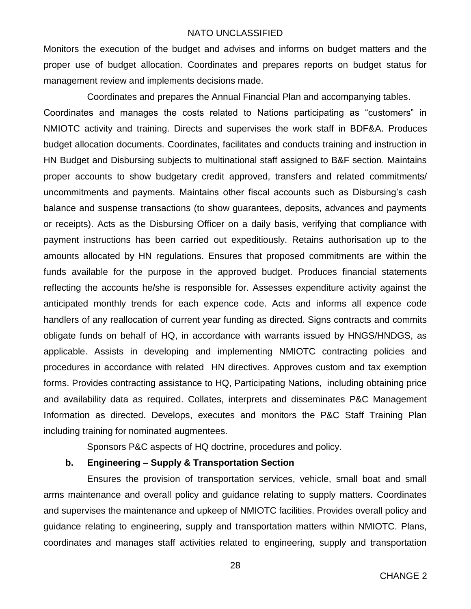Monitors the execution of the budget and advises and informs on budget matters and the proper use of budget allocation. Coordinates and prepares reports on budget status for management review and implements decisions made.

Coordinates and prepares the Annual Financial Plan and accompanying tables. Coordinates and manages the costs related to Nations participating as "customers" in NMIOTC activity and training. Directs and supervises the work staff in BDF&A. Produces budget allocation documents. Coordinates, facilitates and conducts training and instruction in HN Budget and Disbursing subjects to multinational staff assigned to B&F section. Maintains proper accounts to show budgetary credit approved, transfers and related commitments/ uncommitments and payments. Maintains other fiscal accounts such as Disbursing's cash balance and suspense transactions (to show guarantees, deposits, advances and payments or receipts). Acts as the Disbursing Officer on a daily basis, verifying that compliance with payment instructions has been carried out expeditiously. Retains authorisation up to the amounts allocated by HN regulations. Ensures that proposed commitments are within the funds available for the purpose in the approved budget. Produces financial statements reflecting the accounts he/she is responsible for. Assesses expenditure activity against the anticipated monthly trends for each expence code. Acts and informs all expence code handlers of any reallocation of current year funding as directed. Signs contracts and commits obligate funds on behalf of HQ, in accordance with warrants issued by HNGS/HNDGS, as applicable. Assists in developing and implementing NMIOTC contracting policies and procedures in accordance with related HN directives. Approves custom and tax exemption forms. Provides contracting assistance to HQ, Participating Nations, including obtaining price and availability data as required. Collates, interprets and disseminates P&C Management Information as directed. Develops, executes and monitors the P&C Staff Training Plan including training for nominated augmentees.

Sponsors P&C aspects of HQ doctrine, procedures and policy.

#### <span id="page-28-0"></span>**b. Engineering – Supply & Transportation Section**

Ensures the provision of transportation services, vehicle, small boat and small arms maintenance and overall policy and guidance relating to supply matters. Coordinates and supervises the maintenance and upkeep of NMIOTC facilities. Provides overall policy and guidance relating to engineering, supply and transportation matters within NMIOTC. Plans, coordinates and manages staff activities related to engineering, supply and transportation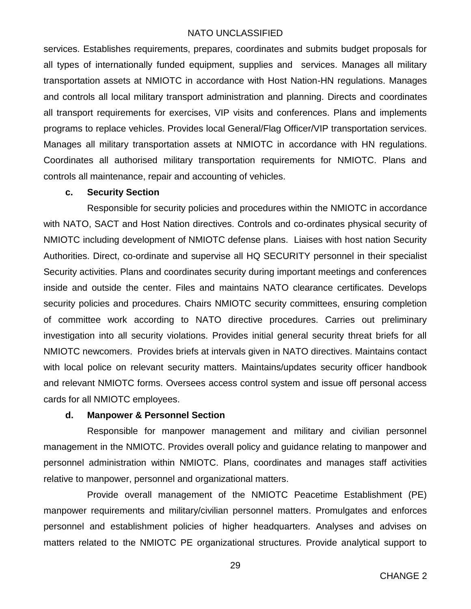services. Establishes requirements, prepares, coordinates and submits budget proposals for all types of internationally funded equipment, supplies and services. Manages all military transportation assets at NMIOTC in accordance with Host Nation-HN regulations. Manages and controls all local military transport administration and planning. Directs and coordinates all transport requirements for exercises, VIP visits and conferences. Plans and implements programs to replace vehicles. Provides local General/Flag Officer/VIP transportation services. Manages all military transportation assets at NMIOTC in accordance with HN regulations. Coordinates all authorised military transportation requirements for NMIOTC. Plans and controls all maintenance, repair and accounting of vehicles.

#### <span id="page-29-0"></span>**c. Security Section**

Responsible for security policies and procedures within the NMIOTC in accordance with NATO, SACT and Host Nation directives. Controls and co-ordinates physical security of NMIOTC including development of NMIOTC defense plans. Liaises with host nation Security Authorities. Direct, co-ordinate and supervise all HQ SECURITY personnel in their specialist Security activities. Plans and coordinates security during important meetings and conferences inside and outside the center. Files and maintains NATO clearance certificates. Develops security policies and procedures. Chairs NMIOTC security committees, ensuring completion of committee work according to NATO directive procedures. Carries out preliminary investigation into all security violations. Provides initial general security threat briefs for all NMIOTC newcomers. Provides briefs at intervals given in NATO directives. Maintains contact with local police on relevant security matters. Maintains/updates security officer handbook and relevant NMIOTC forms. Oversees access control system and issue off personal access cards for all NMIOTC employees.

#### <span id="page-29-1"></span>**d. Manpower & Personnel Section**

Responsible for manpower management and military and civilian personnel management in the NMIOTC. Provides overall policy and guidance relating to manpower and personnel administration within NMIOTC. Plans, coordinates and manages staff activities relative to manpower, personnel and organizational matters.

Provide overall management of the NMIOTC Peacetime Establishment (PE) manpower requirements and military/civilian personnel matters. Promulgates and enforces personnel and establishment policies of higher headquarters. Analyses and advises on matters related to the NMIOTC PE organizational structures. Provide analytical support to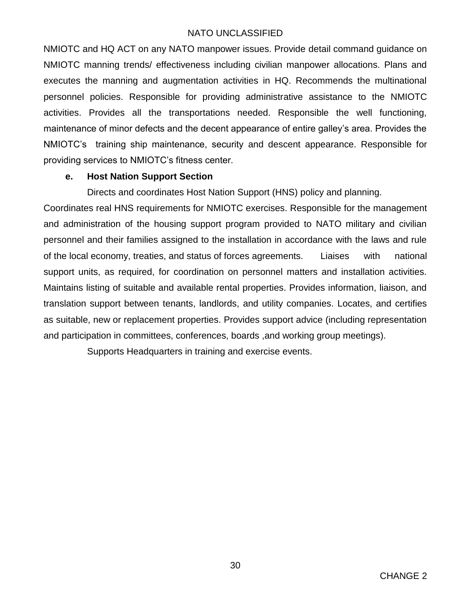NMIOTC and HQ ACT on any NATO manpower issues. Provide detail command guidance on NMIOTC manning trends/ effectiveness including civilian manpower allocations. Plans and executes the manning and augmentation activities in HQ. Recommends the multinational personnel policies. Responsible for providing administrative assistance to the NMIOTC activities. Provides all the transportations needed. Responsible the well functioning, maintenance of minor defects and the decent appearance of entire galley's area. Provides the NMIOTC's training ship maintenance, security and descent appearance. Responsible for providing services to NMIOTC's fitness center.

#### <span id="page-30-0"></span>**e. Host Nation Support Section**

Directs and coordinates Host Nation Support (HNS) policy and planning.

Coordinates real HNS requirements for NMIOTC exercises. Responsible for the management and administration of the housing support program provided to NATO military and civilian personnel and their families assigned to the installation in accordance with the laws and rule of the local economy, treaties, and status of forces agreements. Liaises with national support units, as required, for coordination on personnel matters and installation activities. Maintains listing of suitable and available rental properties. Provides information, liaison, and translation support between tenants, landlords, and utility companies. Locates, and certifies as suitable, new or replacement properties. Provides support advice (including representation and participation in committees, conferences, boards ,and working group meetings).

Supports Headquarters in training and exercise events.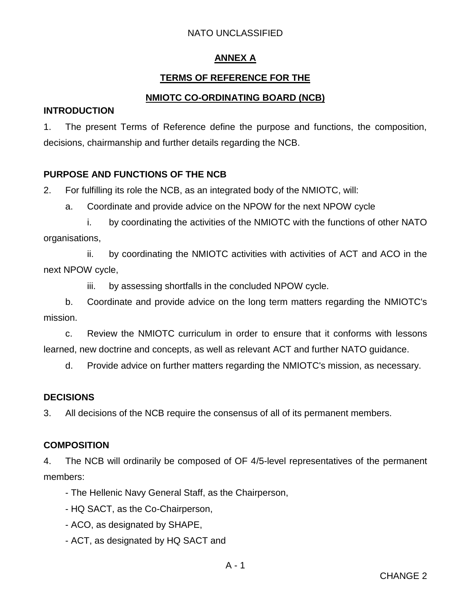### **ANNEX A**

### **TERMS OF REFERENCE FOR THE**

### **NMIOTC CO-ORDINATING BOARD (NCB)**

#### <span id="page-31-2"></span><span id="page-31-1"></span><span id="page-31-0"></span>**INTRODUCTION**

1. The present Terms of Reference define the purpose and functions, the composition, decisions, chairmanship and further details regarding the NCB.

### **PURPOSE AND FUNCTIONS OF THE NCB**

2. For fulfilling its role the NCB, as an integrated body of the NMIOTC, will:

a. Coordinate and provide advice on the NPOW for the next NPOW cycle

i. by coordinating the activities of the NMIOTC with the functions of other NATO organisations,

ii. by coordinating the NMIOTC activities with activities of ACT and ACO in the next NPOW cycle,

iii. by assessing shortfalls in the concluded NPOW cycle.

b. Coordinate and provide advice on the long term matters regarding the NMIOTC's mission.

c. Review the NMIOTC curriculum in order to ensure that it conforms with lessons learned, new doctrine and concepts, as well as relevant ACT and further NATO guidance.

d. Provide advice on further matters regarding the NMIOTC's mission, as necessary.

### **DECISIONS**

3. All decisions of the NCB require the consensus of all of its permanent members.

### **COMPOSITION**

4. The NCB will ordinarily be composed of OF 4/5-level representatives of the permanent members:

- The Hellenic Navy General Staff, as the Chairperson,

- HQ SACT, as the Co-Chairperson,
- ACO, as designated by SHAPE,
- ACT, as designated by HQ SACT and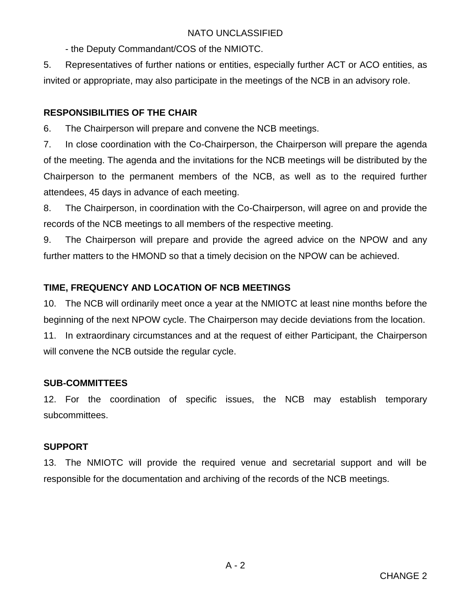- the Deputy Commandant/COS of the NMIOTC.

5. Representatives of further nations or entities, especially further ACT or ACO entities, as invited or appropriate, may also participate in the meetings of the NCB in an advisory role.

### **RESPONSIBILITIES OF THE CHAIR**

6. The Chairperson will prepare and convene the NCB meetings.

7. In close coordination with the Co-Chairperson, the Chairperson will prepare the agenda of the meeting. The agenda and the invitations for the NCB meetings will be distributed by the Chairperson to the permanent members of the NCB, as well as to the required further attendees, 45 days in advance of each meeting.

8. The Chairperson, in coordination with the Co-Chairperson, will agree on and provide the records of the NCB meetings to all members of the respective meeting.

9. The Chairperson will prepare and provide the agreed advice on the NPOW and any further matters to the HMOND so that a timely decision on the NPOW can be achieved.

### **TIME, FREQUENCY AND LOCATION OF NCB MEETINGS**

10. The NCB will ordinarily meet once a year at the NMIOTC at least nine months before the beginning of the next NPOW cycle. The Chairperson may decide deviations from the location. 11. In extraordinary circumstances and at the request of either Participant, the Chairperson will convene the NCB outside the regular cycle.

### **SUB-COMMITTEES**

12. For the coordination of specific issues, the NCB may establish temporary subcommittees.

### **SUPPORT**

13. The NMIOTC will provide the required venue and secretarial support and will be responsible for the documentation and archiving of the records of the NCB meetings.